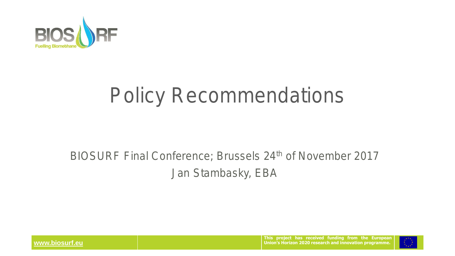

## **Policy Recommendations**

#### **BIOSURF Final Conference; Brussels 24th of November 2017 Jan Stambasky, EBA**



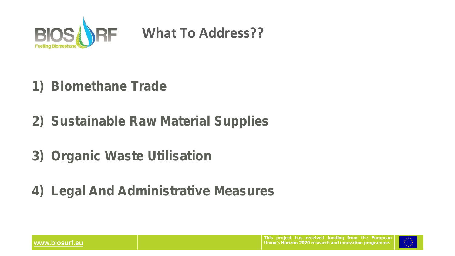

### **What To Address??**

- *1) Biomethane Trade*
- *2) Sustainable Raw Material Supplies*
- *3) Organic Waste Utilisation*
- *4) Legal And Administrative Measures*

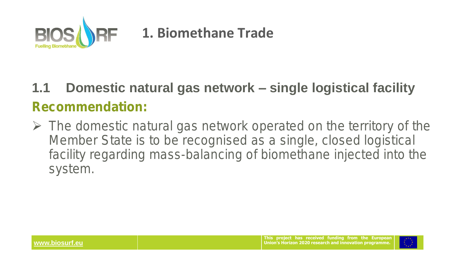

### **1. Biomethane Trade**

### **1.1 Domestic natural gas network – single logistical facility** *Recommendation:*

➢ **The domestic natural gas network operated on the territory of the Member State is to be recognised as a single, closed logistical facility regarding mass-balancing of biomethane injected into the system.**

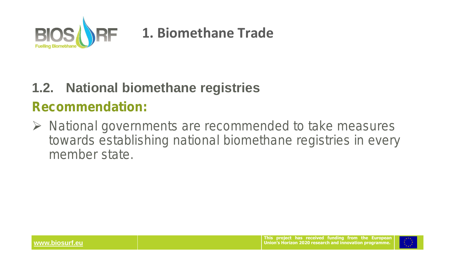

### **1. Biomethane Trade**

#### **1.2. National biomethane registries**

#### *Recommendation:*

➢ **National governments are recommended to take measures towards establishing national biomethane registries in every member state.** 

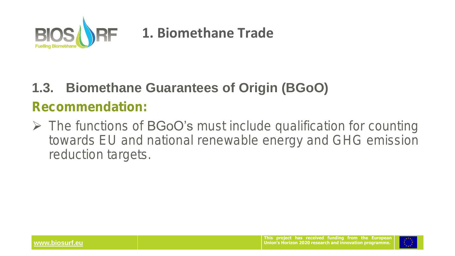

#### **1. Biomethane Trade**

### **1.3. Biomethane Guarantees of Origin (BGoO)** *Recommendation:*

➢ **The functions of BGoO's must include qualification for counting towards EU and national renewable energy and GHG emission reduction targets.**

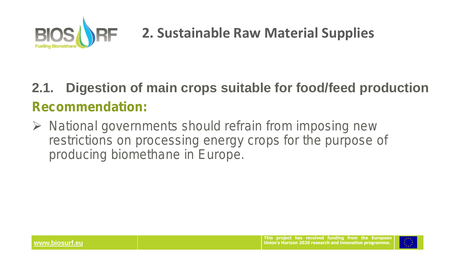

### **2.1. Digestion of main crops suitable for food/feed production**  *Recommendation:*

➢ **National governments should refrain from imposing new restrictions on processing energy crops for the purpose of producing biomethane in Europe.** 

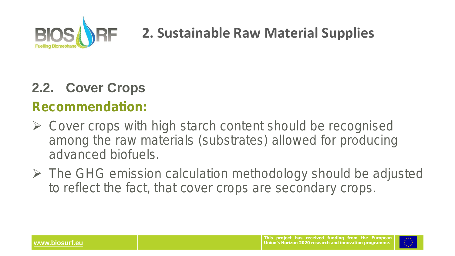

### **2.2. Cover Crops**

#### *Recommendation:*

- ➢ **Cover crops with high starch content should be recognised among the raw materials (substrates) allowed for producing advanced biofuels.**
- ➢ **The GHG emission calculation methodology should be adjusted to reflect the fact, that cover crops are secondary crops.**

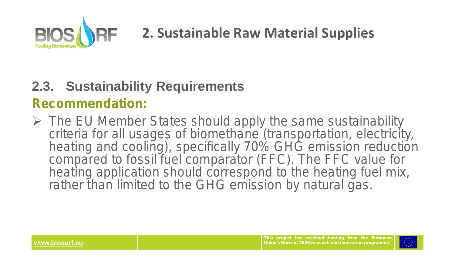

#### **2.3. Sustainability Requirements**

#### *Recommendation:*

➢ **The EU Member States should apply the same sustainability criteria for all usages of biomethane (transportation, electricity, heating and cooling), specifically 70% GHG emission reduction compared to fossil fuel comparator (FFC). The FFC value for heating application should correspond to the heating fuel mix,**  rather than limited to the GHG emission by natural gas.

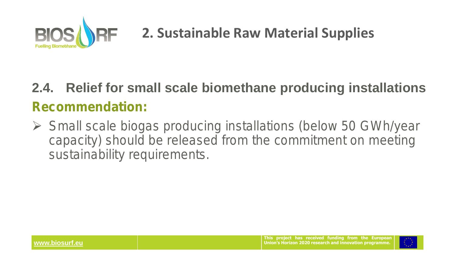

### **2.4. Relief for small scale biomethane producing installations**  *Recommendation:*

➢ **Small scale biogas producing installations (below 50 GWh/year capacity) should be released from the commitment on meeting sustainability requirements.**

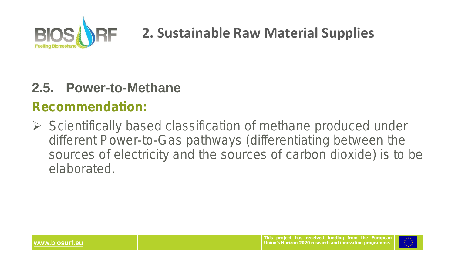

#### **2.5. Power-to-Methane**

#### *Recommendation:*

➢ **Scientifically based classification of methane produced under different Power-to-Gas pathways (differentiating between the sources of electricity and the sources of carbon dioxide) is to be elaborated.** 

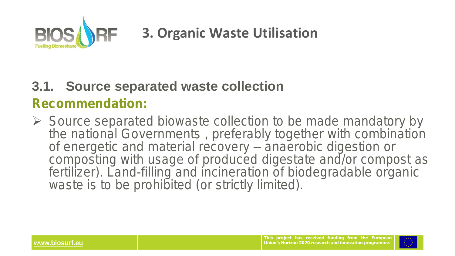

### **3. Organic Waste Utilisation**

#### **3.1. Source separated waste collection**

#### *Recommendation:*

➢ **Source separated biowaste collection to be made mandatory by the national Governments , preferably together with combination of energetic and material recovery – anaerobic digestion or composting with usage of produced digestate and/or compost as**  fertilizer). Land-filling and incineration of biodegradable organic waste is to be prohibited (or strictly limited).

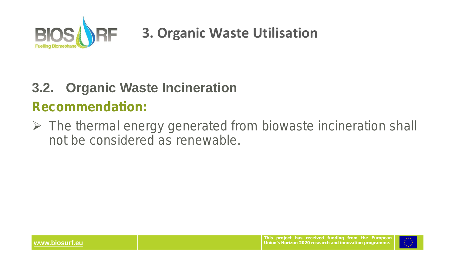

### **3. Organic Waste Utilisation**

#### **3.2. Organic Waste Incineration**

*Recommendation:* 

➢ **The thermal energy generated from biowaste incineration shall not be considered as renewable.**

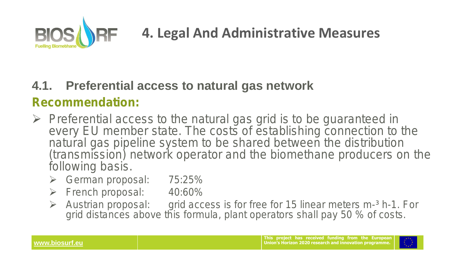

#### **4.1. Preferential access to natural gas network**

#### *Recommendation:*

- ➢ **Preferential access to the natural gas grid is to be guaranteed in every EU member state. The costs of establishing connection to the natural gas pipeline system to be shared between the distribution (transmission) network operator and the biomethane producers on the following basis.**
	- ➢ **German proposal: 75:25%**
	- ➢ **French proposal: 40:60%**
	- ➢ **Austrian proposal: grid access is for free for 15 linear meters m-³ h-1. For grid distances above this formula, plant operators shall pay 50 % of costs.**

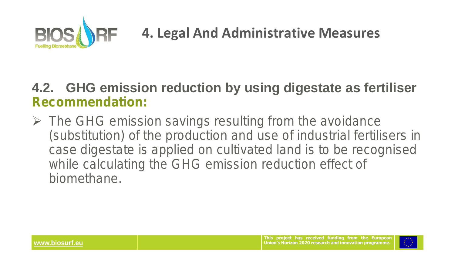

#### **4.2. GHG emission reduction by using digestate as fertiliser**  *Recommendation:*

➢ **The GHG emission savings resulting from the avoidance (substitution) of the production and use of industrial fertilisers in case digestate is applied on cultivated land is to be recognised while calculating the GHG emission reduction effect of biomethane.**

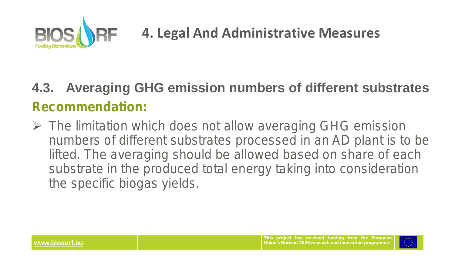

### **4.3. Averaging GHG emission numbers of different substrates** *Recommendation:*

➢ **The limitation which does not allow averaging GHG emission numbers of different substrates processed in an AD plant is to be lifted. The averaging should be allowed based on share of each substrate in the produced total energy taking into consideration the specific biogas yields.**

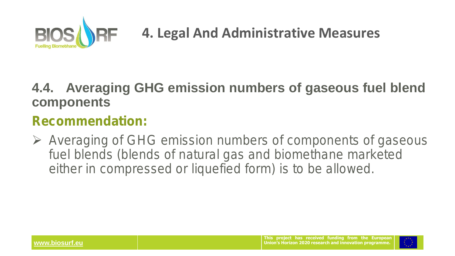

#### **4.4. Averaging GHG emission numbers of gaseous fuel blend components**

#### *Recommendation:*

➢ **Averaging of GHG emission numbers of components of gaseous fuel blends (blends of natural gas and biomethane marketed either in compressed or liquefied form) is to be allowed.** 

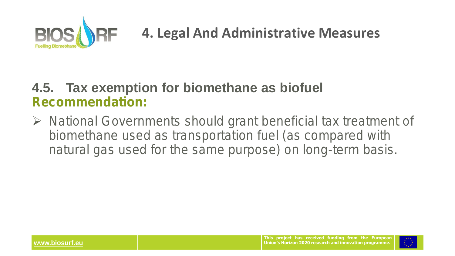

#### **4.5. Tax exemption for biomethane as biofuel**  *Recommendation:*

➢ **National Governments should grant beneficial tax treatment of biomethane used as transportation fuel (as compared with natural gas used for the same purpose) on long-term basis.** 

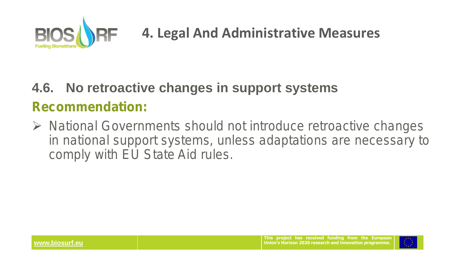

## **4.6. No retroactive changes in support systems** *Recommendation:*

➢ **National Governments should not introduce retroactive changes in national support systems, unless adaptations are necessary to comply with EU State Aid rules.**